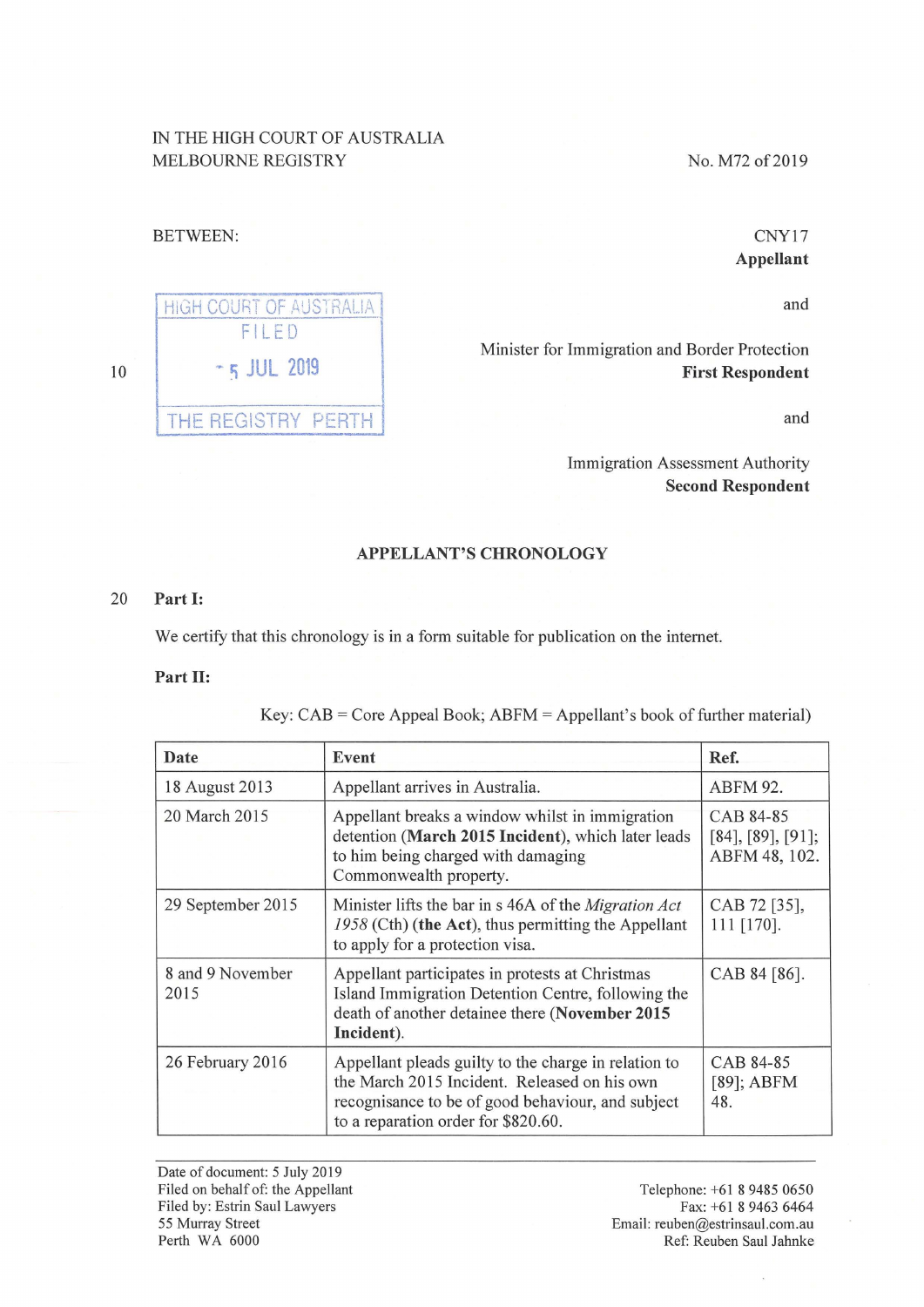## IN THE HIGH COURT OF AUSTRALIA MELBOURNE REGISTRY

No. M72 of 2019

### BETWEEN:

CNY17 **Appellant** 

and

Minister for Immigration and Border Protection **First Respondent** 

and

Immigration Assessment Authority **Second Respondent** 

#### **APPELLANT'S CHRONOLOGY**

#### 20 **Part** I:

We certify that this chronology is in a form suitable for publication on the internet.

**Part** II:

Key: CAB = Core Appeal Book; ABFM = Appellant's book of further material)

| Date                     | Event                                                                                                                                                                                            | Ref.                                            |
|--------------------------|--------------------------------------------------------------------------------------------------------------------------------------------------------------------------------------------------|-------------------------------------------------|
| 18 August 2013           | Appellant arrives in Australia.                                                                                                                                                                  | ABFM 92.                                        |
| 20 March 2015            | Appellant breaks a window whilst in immigration<br>detention (March 2015 Incident), which later leads<br>to him being charged with damaging<br>Commonwealth property.                            | CAB 84-85<br>[84], [89], [91];<br>ABFM 48, 102. |
| 29 September 2015        | Minister lifts the bar in s 46A of the <i>Migration Act</i><br>1958 (Cth) (the Act), thus permitting the Appellant<br>to apply for a protection visa.                                            | CAB 72 [35],<br>111 [170].                      |
| 8 and 9 November<br>2015 | Appellant participates in protests at Christmas<br>Island Immigration Detention Centre, following the<br>death of another detainee there (November 2015<br>Incident).                            | CAB 84 [86].                                    |
| 26 February 2016         | Appellant pleads guilty to the charge in relation to<br>the March 2015 Incident. Released on his own<br>recognisance to be of good behaviour, and subject<br>to a reparation order for \$820.60. | CAB 84-85<br>$[89]$ ; ABFM<br>48.               |

Date of document: 5 July 2019 Filed on behalf of: the Appellant Filed by: Estrin Saul Lawyers 55 Murray Street Perth WA 6000

Telephone: +61 8 9485 0650 Fax: +61 8 9463 6464 Email: reuben@estrinsaul.com.au Ref: Reuben Saul Jahnke

# HIGH COURT OF AUSTRALIA FILED - 5 JUL <sup>2019</sup> THE REGISTRY PERTH

10